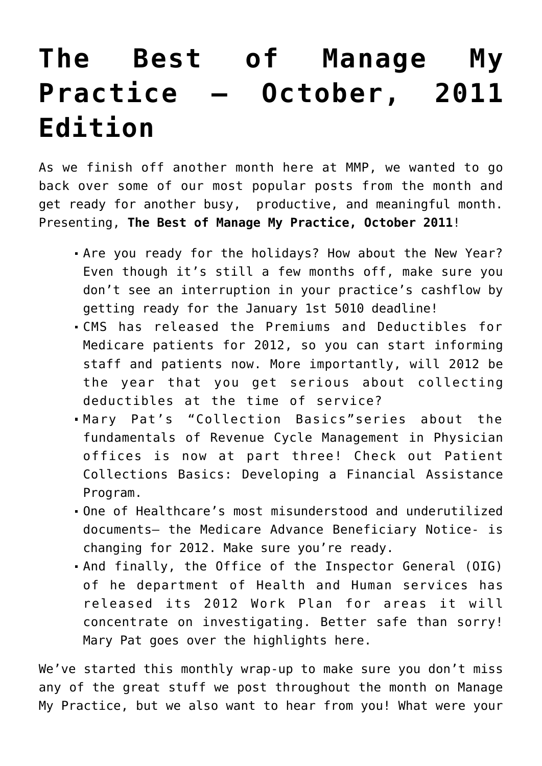## **[The Best of Manage My](https://managemypractice.com/the-best-of-manage-my-practice-october-2011-edition/) [Practice – October, 2011](https://managemypractice.com/the-best-of-manage-my-practice-october-2011-edition/) [Edition](https://managemypractice.com/the-best-of-manage-my-practice-october-2011-edition/)**

As we finish off another month here at MMP, we wanted to go back over some of our most popular posts from the month and get ready for another busy, productive, and meaningful month. Presenting, **The Best of Manage My Practice, October 2011**!

- Are you ready for the holidays? How about the New Year? Even though it's still a few months off, make sure you don't see an interruption in your practice's cashflow by [getting ready for the January 1st 5010 deadline](https://managemypractice.com/?p=9789)!
- CMS has released the [Premiums and Deductibles for](https://managemypractice.com/?p=9910) [Medicare patients for 2012,](https://managemypractice.com/?p=9910) so you can start informing staff and patients now. More importantly, will 2012 be the year that you get serious about [collecting](https://managemypractice.com/store/e-books/the-smart-manager%e2%80%99s-guide-to-collecting-at-checkout/) [deductibles at the time of service?](https://managemypractice.com/store/e-books/the-smart-manager%e2%80%99s-guide-to-collecting-at-checkout/)
- Mary Pat's "Collection Basics"series about the fundamentals of Revenue Cycle Management in Physician offices is now at part three! Check out [Patient](https://managemypractice.com/?p=9802) [Collections Basics: Developing a Financial Assistance](https://managemypractice.com/?p=9802) [Program](https://managemypractice.com/?p=9802).
- One of Healthcare's [most misunderstood and underutilized](https://managemypractice.com/?p=2996) [documents](https://managemypractice.com/?p=2996)– the Medicare Advance Beneficiary Notice- is changing for 2012. [Make sure you're ready](https://managemypractice.com/?p=9870).
- And finally, the Office of the Inspector General (OIG) of he department of Health and Human services has released its 2012 Work Plan for areas it will concentrate on investigating. Better safe than sorry! Mary Pat goes over the highlights [here](https://managemypractice.com/?p=9903).

We've started this monthly wrap-up to make sure you don't miss any of the great stuff we post throughout the month on Manage My Practice, but we also want to hear from you! What were your